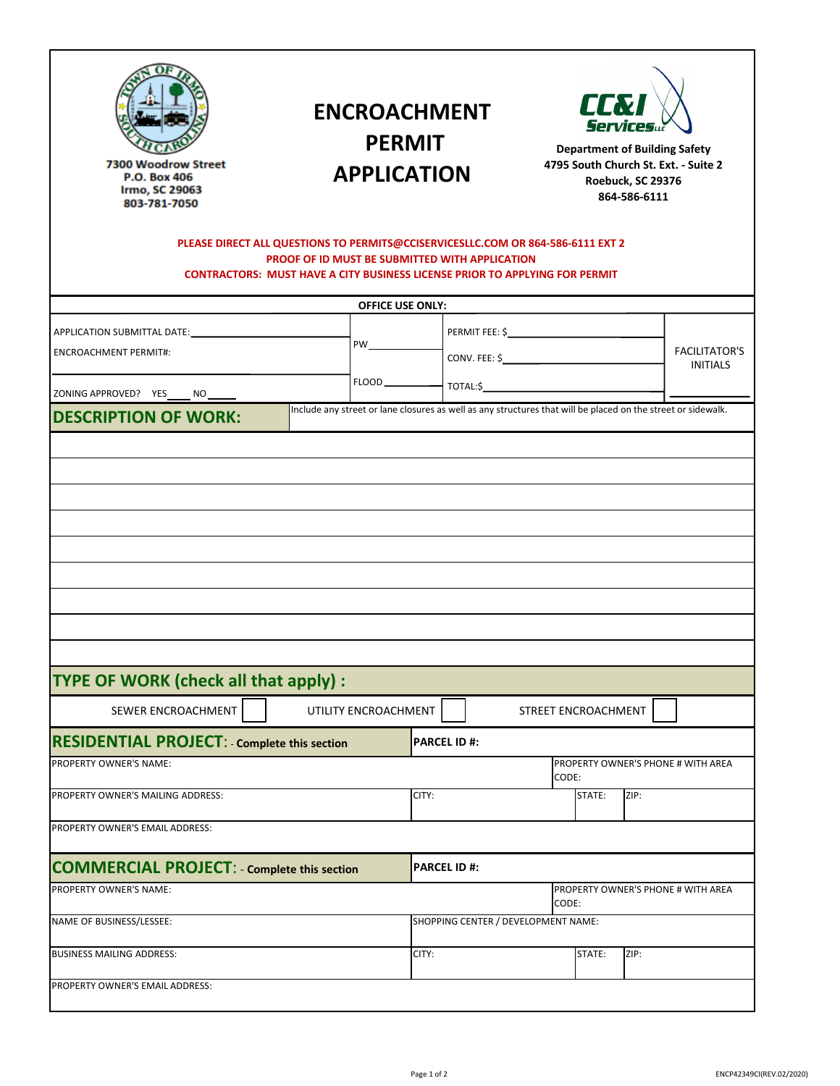| 12 We t M in Street<br>Wii<br>ton, SC 29697<br>864-847-7473 | <b>ENCROACHMENT</b><br><b>PERMIT</b><br><b>APPLICATION</b><br>PLEASE DIRECT ALL QUESTIONS TO PERMITS@CCISERVICESLLC.COM OR 864-586-6111 EXT 2 |                                                                                                                                                                                                                                         |                                     | LLN<br><b>Department of Building Safety</b><br>4795 South Church St. Ext. - Suite 2<br>Roebuck, SC 29376<br>864-586-6111 |                                    |                                         |  |  |
|-------------------------------------------------------------|-----------------------------------------------------------------------------------------------------------------------------------------------|-----------------------------------------------------------------------------------------------------------------------------------------------------------------------------------------------------------------------------------------|-------------------------------------|--------------------------------------------------------------------------------------------------------------------------|------------------------------------|-----------------------------------------|--|--|
|                                                             | PROOF OF ID MUST BE SUBMITTED WITH APPLICATION<br><b>CONTRACTORS: MUST HAVE A CITY BUSINESS LICENSE PRIOR TO APPLYING FOR PERMIT</b>          |                                                                                                                                                                                                                                         |                                     |                                                                                                                          |                                    |                                         |  |  |
|                                                             |                                                                                                                                               | <b>OFFICE USE ONLY:</b>                                                                                                                                                                                                                 |                                     |                                                                                                                          |                                    |                                         |  |  |
|                                                             |                                                                                                                                               |                                                                                                                                                                                                                                         |                                     |                                                                                                                          |                                    | <b>FACILITATOR'S</b><br><b>INITIALS</b> |  |  |
| <b>ENCROACHMENT PERMIT#:</b>                                |                                                                                                                                               | PW <sub>2</sub> and the contract of the contract of the contract of the contract of the contract of the contract of the contract of the contract of the contract of the contract of the contract of the contract of the contract of the |                                     |                                                                                                                          |                                    |                                         |  |  |
| ZONING APPROVED? YES_____ NO______                          |                                                                                                                                               |                                                                                                                                                                                                                                         |                                     |                                                                                                                          |                                    |                                         |  |  |
| <b>DESCRIPTION OF WORK:</b>                                 | Include any street or lane closures as well as any structures that will be placed on the street or sidewalk.                                  |                                                                                                                                                                                                                                         |                                     |                                                                                                                          |                                    |                                         |  |  |
| TYPE OF WORK (check all that apply) :                       |                                                                                                                                               |                                                                                                                                                                                                                                         |                                     |                                                                                                                          |                                    |                                         |  |  |
| SEWER ENCROACHMENT                                          | UTILITY ENCROACHMENT                                                                                                                          |                                                                                                                                                                                                                                         |                                     | STREET ENCROACHMENT                                                                                                      |                                    |                                         |  |  |
| <b>RESIDENTIAL PROJECT:</b> Complete this section           |                                                                                                                                               |                                                                                                                                                                                                                                         | <b>PARCEL ID#:</b>                  |                                                                                                                          |                                    |                                         |  |  |
| PROPERTY OWNER'S NAME:                                      |                                                                                                                                               |                                                                                                                                                                                                                                         |                                     | CODE:                                                                                                                    | PROPERTY OWNER'S PHONE # WITH AREA |                                         |  |  |
| PROPERTY OWNER'S MAILING ADDRESS:                           |                                                                                                                                               | CITY:                                                                                                                                                                                                                                   |                                     |                                                                                                                          | STATE:                             | ZIP:                                    |  |  |
| PROPERTY OWNER'S EMAIL ADDRESS:                             |                                                                                                                                               |                                                                                                                                                                                                                                         |                                     |                                                                                                                          |                                    |                                         |  |  |
| <b>COMMERCIAL PROJECT: - Complete this section</b>          |                                                                                                                                               |                                                                                                                                                                                                                                         | <b>PARCEL ID#:</b>                  |                                                                                                                          |                                    |                                         |  |  |
| PROPERTY OWNER'S NAME:                                      |                                                                                                                                               |                                                                                                                                                                                                                                         |                                     | CODE:                                                                                                                    | PROPERTY OWNER'S PHONE # WITH AREA |                                         |  |  |
| NAME OF BUSINESS/LESSEE:                                    |                                                                                                                                               |                                                                                                                                                                                                                                         | SHOPPING CENTER / DEVELOPMENT NAME: |                                                                                                                          |                                    |                                         |  |  |
| <b>BUSINESS MAILING ADDRESS:</b>                            |                                                                                                                                               | CITY:                                                                                                                                                                                                                                   |                                     |                                                                                                                          | STATE:                             | ZIP:                                    |  |  |
| PROPERTY OWNER'S EMAIL ADDRESS:                             |                                                                                                                                               |                                                                                                                                                                                                                                         |                                     |                                                                                                                          |                                    |                                         |  |  |